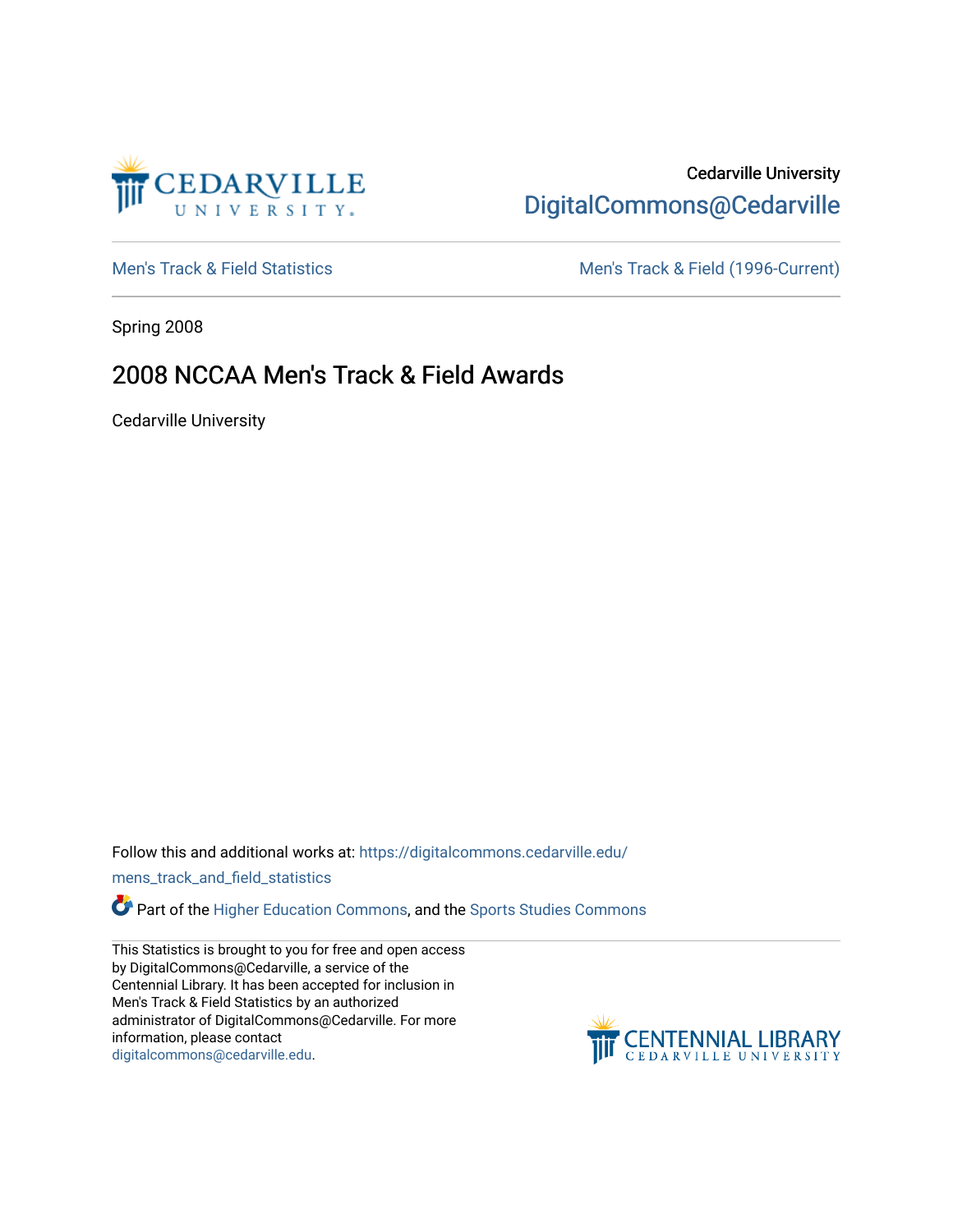

## Cedarville University [DigitalCommons@Cedarville](https://digitalcommons.cedarville.edu/)

[Men's Track & Field Statistics](https://digitalcommons.cedarville.edu/mens_track_and_field_statistics) [Men's Track & Field \(1996-Current\)](https://digitalcommons.cedarville.edu/mens_track_and_field) 

Spring 2008

## 2008 NCCAA Men's Track & Field Awards

Cedarville University

Follow this and additional works at: [https://digitalcommons.cedarville.edu/](https://digitalcommons.cedarville.edu/mens_track_and_field_statistics?utm_source=digitalcommons.cedarville.edu%2Fmens_track_and_field_statistics%2F189&utm_medium=PDF&utm_campaign=PDFCoverPages)

[mens\\_track\\_and\\_field\\_statistics](https://digitalcommons.cedarville.edu/mens_track_and_field_statistics?utm_source=digitalcommons.cedarville.edu%2Fmens_track_and_field_statistics%2F189&utm_medium=PDF&utm_campaign=PDFCoverPages)

Part of the [Higher Education Commons,](http://network.bepress.com/hgg/discipline/1245?utm_source=digitalcommons.cedarville.edu%2Fmens_track_and_field_statistics%2F189&utm_medium=PDF&utm_campaign=PDFCoverPages) and the Sports Studies Commons

This Statistics is brought to you for free and open access by DigitalCommons@Cedarville, a service of the Centennial Library. It has been accepted for inclusion in Men's Track & Field Statistics by an authorized administrator of DigitalCommons@Cedarville. For more information, please contact [digitalcommons@cedarville.edu](mailto:digitalcommons@cedarville.edu).

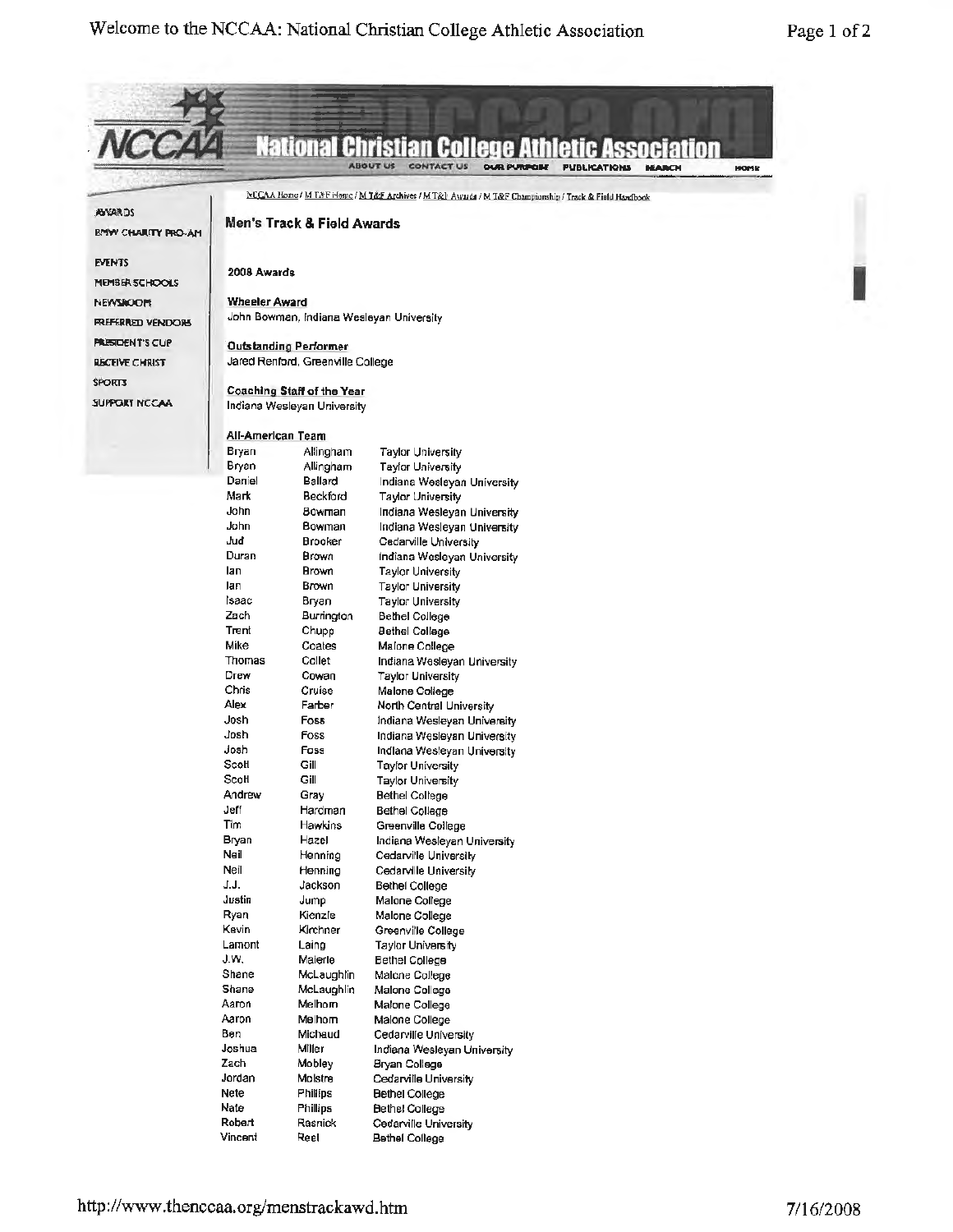